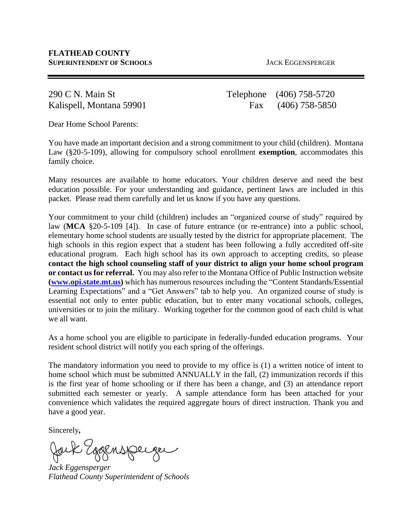290 C N. Main St Telephone (406) 758-5720 Kalispell, Montana 59901 Fax (406) 758-5850

Dear Home School Parents:

You have made an important decision and a strong commitment to your child (children). Montana Law (§20-5-109), allowing for compulsory school enrollment **exemption**, accommodates this family choice.

Many resources are available to home educators. Your children deserve and need the best education possible. For your understanding and guidance, pertinent laws are included in this packet. Please read them carefully and let us know if you have any questions.

Your commitment to your child (children) includes an "organized course of study" required by law (MCA §20-5-109 [4]). In case of future entrance (or re-entrance) into a public school, elementary home school students are usually tested by the district for appropriate placement. The high schools in this region expect that a student has been following a fully accredited off-site educational program. Each high school has its own approach to accepting credits, so please **contact the high school counseling staff of your district to align your home school program or contact us for referral.** You may also refer to the Montana Office of Public Instruction website **[\(www.opi.state.mt.us\)](http://www.opi.state.mt.us/)** which has numerous resources including the "Content Standards/Essential Learning Expectations" and a "Get Answers" tab to help you. An organized course of study is essential not only to enter public education, but to enter many vocational schools, colleges, universities or to join the military. Working together for the common good of each child is what we all want.

As a home school you are eligible to participate in federally-funded education programs. Your resident school district will notify you each spring of the offerings.

The mandatory information you need to provide to my office is (1) a written notice of intent to home school which must be submitted ANNUALLY in the fall, (2) immunization records if this is the first year of home schooling or if there has been a change, and (3) an attendance report submitted each semester or yearly. A sample attendance form has been attached for your convenience which validates the required aggregate hours of direct instruction. Thank you and have a good year.

Sincerely*,*

*Jack Eggensperger Flathead County Superintendent of Schools*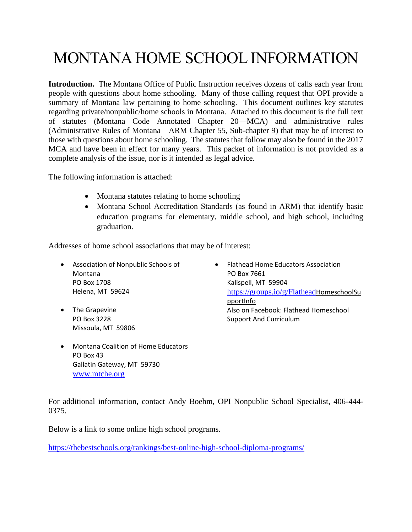# MONTANA HOME SCHOOL INFORMATION

**Introduction.** The Montana Office of Public Instruction receives dozens of calls each year from people with questions about home schooling. Many of those calling request that OPI provide a summary of Montana law pertaining to home schooling. This document outlines key statutes regarding private/nonpublic/home schools in Montana. Attached to this document is the full text of statutes (Montana Code Annotated Chapter 20—MCA) and administrative rules (Administrative Rules of Montana—ARM Chapter 55, Sub-chapter 9) that may be of interest to those with questions about home schooling. The statutes that follow may also be found in the 2017 MCA and have been in effect for many years. This packet of information is not provided as a complete analysis of the issue, nor is it intended as legal advice.

The following information is attached:

- Montana statutes relating to home schooling
- Montana School Accreditation Standards (as found in ARM) that identify basic education programs for elementary, middle school, and high school, including graduation.

Addresses of home school associations that may be of interest:

- Association of Nonpublic Schools of Montana PO Box 1708 Helena, MT 59624
- The Grapevine PO Box 3228 Missoula, MT 59806
- Montana Coalition of Home Educators PO Box 43 Gallatin Gateway, MT 59730 [www.mtche.org](http://www.mtche.org/)
- Flathead Home Educators Association PO Box 7661 Kalispell, MT 59904 <https://groups.io/g/Flathead>HomeschoolSu pportInfo Also on Facebook: Flathead Homeschool Support And Curriculum

For additional information, contact Andy Boehm, OPI Nonpublic School Specialist, 406-444- 0375.

Below is a link to some online high school programs.

<https://thebestschools.org/rankings/best-online-high-school-diploma-programs/>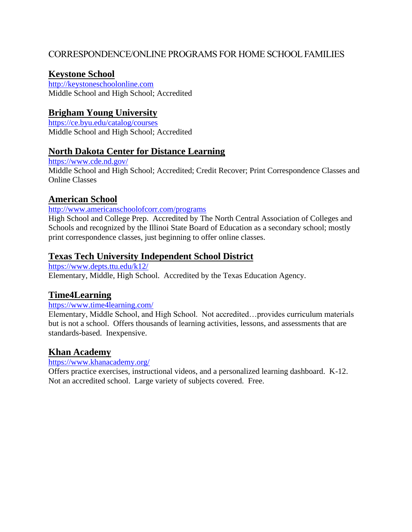## CORRESPONDENCE/ONLINE PROGRAMS FOR HOME SCHOOL FAMILIES

### **Keystone School**

[http://keystoneschoolonline.com](http://keystoneschoolonline.com/) Middle School and High School; Accredited

## **Brigham Young University**

<https://ce.byu.edu/catalog/courses> Middle School and High School; Accredited

### **North Dakota Center for Distance Learning**

<https://www.cde.nd.gov/> Middle School and High School; Accredited; Credit Recover; Print Correspondence Classes and Online Classes

#### **American School**

<http://www.americanschoolofcorr.com/programs>

High School and College Prep. Accredited by The North Central Association of Colleges and Schools and recognized by the Illinoi State Board of Education as a secondary school; mostly print correspondence classes, just beginning to offer online classes.

### **Texas Tech University Independent School District**

<https://www.depts.ttu.edu/k12/>

Elementary, Middle, High School. Accredited by the Texas Education Agency.

## **Time4Learning**

<https://www.time4learning.com/>

Elementary, Middle School, and High School. Not accredited…provides curriculum materials but is not a school. Offers thousands of learning activities, lessons, and assessments that are standards-based. Inexpensive.

## **Khan Academy**

<https://www.khanacademy.org/>

Offers practice exercises, instructional videos, and a personalized learning dashboard. K-12. Not an accredited school. Large variety of subjects covered. Free.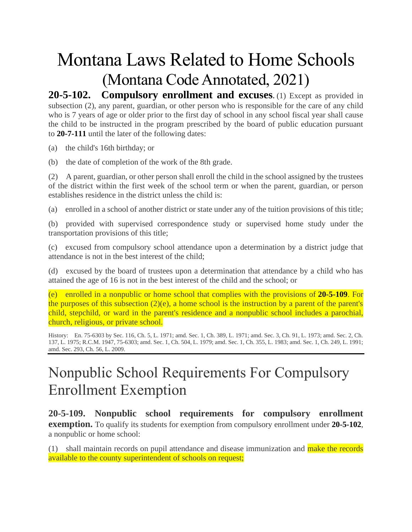# Montana Laws Related to Home Schools (Montana Code Annotated, 2021)

**20-5-102. Compulsory enrollment and excuses.** (1) Except as provided in subsection (2), any parent, guardian, or other person who is responsible for the care of any child who is 7 years of age or older prior to the first day of school in any school fiscal year shall cause the child to be instructed in the program prescribed by the board of public education pursuant to **[20-7-111](https://www.leg.mt.gov/bills/mca/title_0200/chapter_0070/part_0010/section_0110/0200-0070-0010-0110.html)** until the later of the following dates:

(a) the child's 16th birthday; or

(b) the date of completion of the work of the 8th grade.

(2) A parent, guardian, or other person shall enroll the child in the school assigned by the trustees of the district within the first week of the school term or when the parent, guardian, or person establishes residence in the district unless the child is:

(a) enrolled in a school of another district or state under any of the tuition provisions of this title;

(b) provided with supervised correspondence study or supervised home study under the transportation provisions of this title;

(c) excused from compulsory school attendance upon a determination by a district judge that attendance is not in the best interest of the child;

(d) excused by the board of trustees upon a determination that attendance by a child who has attained the age of 16 is not in the best interest of the child and the school; or

(e) enrolled in a nonpublic or home school that complies with the provisions of **[20-5-109](https://www.leg.mt.gov/bills/mca/title_0200/chapter_0050/part_0010/section_0090/0200-0050-0010-0090.html)**. For the purposes of this subsection  $(2)(e)$ , a home school is the instruction by a parent of the parent's child, stepchild, or ward in the parent's residence and a nonpublic school includes a parochial, church, religious, or private school.

History: En. 75-6303 by Sec. 116, Ch. 5, L. 1971; amd. Sec. 1, Ch. 389, L. 1971; amd. Sec. 3, Ch. 91, L. 1973; amd. Sec. 2, Ch. 137, L. 1975; R.C.M. 1947, 75-6303; amd. Sec. 1, Ch. 504, L. 1979; amd. Sec. 1, Ch. 355, L. 1983; amd. Sec. 1, Ch. 249, L. 1991; amd. Sec. 293, Ch. 56, L. 2009.

# Nonpublic School Requirements For Compulsory Enrollment Exemption

**20-5-109. Nonpublic school requirements for compulsory enrollment exemption.** To qualify its students for exemption from compulsory enrollment under **[20-5-102](https://leg.mt.gov/bills/mca/title_0200/chapter_0050/part_0010/section_0020/0200-0050-0010-0020.html)**, a nonpublic or home school:

(1) shall maintain records on pupil attendance and disease immunization and make the records available to the county superintendent of schools on request;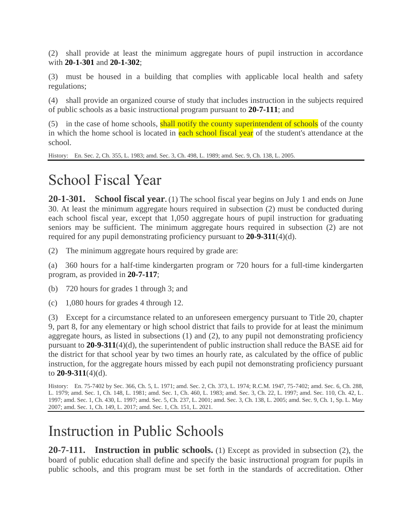(2) shall provide at least the minimum aggregate hours of pupil instruction in accordance with **[20-1-301](https://leg.mt.gov/bills/mca/title_0200/chapter_0010/part_0030/section_0010/0200-0010-0030-0010.html)** and **[20-1-302](https://leg.mt.gov/bills/mca/title_0200/chapter_0010/part_0030/section_0020/0200-0010-0030-0020.html)**;

(3) must be housed in a building that complies with applicable local health and safety regulations;

(4) shall provide an organized course of study that includes instruction in the subjects required of public schools as a basic instructional program pursuant to **[20-7-111](https://leg.mt.gov/bills/mca/title_0200/chapter_0070/part_0010/section_0110/0200-0070-0010-0110.html)**; and

 $(5)$  in the case of home schools, shall notify the county superintendent of schools of the county in which the home school is located in each school fiscal year of the student's attendance at the school.

History: En. Sec. 2, Ch. 355, L. 1983; amd. Sec. 3, Ch. 498, L. 1989; amd. Sec. 9, Ch. 138, L. 2005.

# School Fiscal Year

**20-1-301. School fiscal year.** (1) The school fiscal year begins on July 1 and ends on June 30. At least the minimum aggregate hours required in subsection (2) must be conducted during each school fiscal year, except that 1,050 aggregate hours of pupil instruction for graduating seniors may be sufficient. The minimum aggregate hours required in subsection (2) are not required for any pupil demonstrating proficiency pursuant to **[20-9-311](https://leg.mt.gov/bills/mca/title_0200/chapter_0090/part_0030/section_0110/0200-0090-0030-0110.html)**(4)(d).

(2) The minimum aggregate hours required by grade are:

(a) 360 hours for a half-time kindergarten program or 720 hours for a full-time kindergarten program, as provided in **[20-7-117](https://leg.mt.gov/bills/mca/title_0200/chapter_0070/part_0010/section_0170/0200-0070-0010-0170.html)**;

(b) 720 hours for grades 1 through 3; and

(c) 1,080 hours for grades 4 through 12.

(3) Except for a circumstance related to an unforeseen emergency pursuant to Title 20, chapter 9, part 8, for any elementary or high school district that fails to provide for at least the minimum aggregate hours, as listed in subsections (1) and (2), to any pupil not demonstrating proficiency pursuant to **[20-9-311](https://leg.mt.gov/bills/mca/title_0200/chapter_0090/part_0030/section_0110/0200-0090-0030-0110.html)**(4)(d), the superintendent of public instruction shall reduce the BASE aid for the district for that school year by two times an hourly rate, as calculated by the office of public instruction, for the aggregate hours missed by each pupil not demonstrating proficiency pursuant to **[20-9-311](https://leg.mt.gov/bills/mca/title_0200/chapter_0090/part_0030/section_0110/0200-0090-0030-0110.html)**(4)(d).

History: En. 75-7402 by Sec. 366, Ch. 5, L. 1971; amd. Sec. 2, Ch. 373, L. 1974; R.C.M. 1947, 75-7402; amd. Sec. 6, Ch. 288, L. 1979; amd. Sec. 1, Ch. 148, L. 1981; amd. Sec. 1, Ch. 460, L. 1983; amd. Sec. 3, Ch. 22, L. 1997; amd. Sec. 110, Ch. 42, L. 1997; amd. Sec. 1, Ch. 430, L. 1997; amd. Sec. 5, Ch. 237, L. 2001; amd. Sec. 3, Ch. 138, L. 2005; amd. Sec. 9, Ch. 1, Sp. L. May 2007; amd. Sec. 1, Ch. 149, L. 2017; amd. Sec. 1, Ch. 151, L. 2021.

# Instruction in Public Schools

**20-7-111. Instruction in public schools.** (1) Except as provided in subsection (2), the board of public education shall define and specify the basic instructional program for pupils in public schools, and this program must be set forth in the standards of accreditation. Other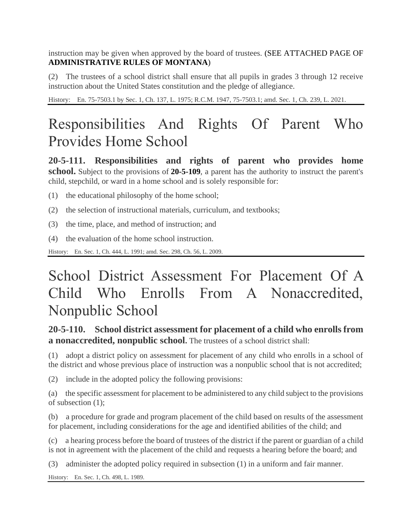instruction may be given when approved by the board of trustees. (SEE ATTACHED PAGE OF **ADMINISTRATIVE RULES OF MONTANA**)

(2) The trustees of a school district shall ensure that all pupils in grades 3 through 12 receive instruction about the United States constitution and the pledge of allegiance.

History: En. 75-7503.1 by Sec. 1, Ch. 137, L. 1975; R.C.M. 1947, 75-7503.1; amd. Sec. 1, Ch. 239, L. 2021.

# Responsibilities And Rights Of Parent Who Provides Home School

**20-5-111. Responsibilities and rights of parent who provides home school.** Subject to the provisions of **[20-5-109](https://www.leg.mt.gov/bills/mca/title_0200/chapter_0050/part_0010/section_0090/0200-0050-0010-0090.html)**, a parent has the authority to instruct the parent's child, stepchild, or ward in a home school and is solely responsible for:

- (1) the educational philosophy of the home school;
- (2) the selection of instructional materials, curriculum, and textbooks;
- (3) the time, place, and method of instruction; and
- (4) the evaluation of the home school instruction.

History: En. Sec. 1, Ch. 444, L. 1991; amd. Sec. 298, Ch. 56, L. 2009.

# School District Assessment For Placement Of A Child Who Enrolls From A Nonaccredited, Nonpublic School

# **20-5-110. School district assessment for placement of a child who enrolls from a nonaccredited, nonpublic school.** The trustees of a school district shall:

(1) adopt a district policy on assessment for placement of any child who enrolls in a school of the district and whose previous place of instruction was a nonpublic school that is not accredited;

(2) include in the adopted policy the following provisions:

(a) the specific assessment for placement to be administered to any child subject to the provisions of subsection (1);

(b) a procedure for grade and program placement of the child based on results of the assessment for placement, including considerations for the age and identified abilities of the child; and

(c) a hearing process before the board of trustees of the district if the parent or guardian of a child is not in agreement with the placement of the child and requests a hearing before the board; and

(3) administer the adopted policy required in subsection (1) in a uniform and fair manner.

History: En. Sec. 1, Ch. 498, L. 1989.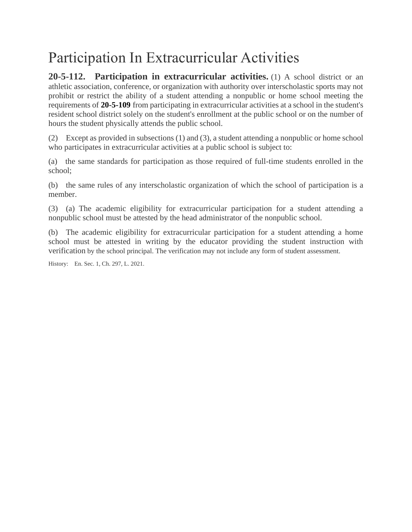# Participation In Extracurricular Activities

**20-5-112. Participation in extracurricular activities.** (1) A school district or an athletic association, conference, or organization with authority over interscholastic sports may not prohibit or restrict the ability of a student attending a nonpublic or home school meeting the requirements of **[20-5-109](https://leg.mt.gov/bills/mca/title_0200/chapter_0050/part_0010/section_0090/0200-0050-0010-0090.html)** from participating in extracurricular activities at a school in the student's resident school district solely on the student's enrollment at the public school or on the number of hours the student physically attends the public school.

(2) Except as provided in subsections (1) and (3), a student attending a nonpublic or home school who participates in extracurricular activities at a public school is subject to:

(a) the same standards for participation as those required of full-time students enrolled in the school;

(b) the same rules of any interscholastic organization of which the school of participation is a member.

(3) (a) The academic eligibility for extracurricular participation for a student attending a nonpublic school must be attested by the head administrator of the nonpublic school.

(b) The academic eligibility for extracurricular participation for a student attending a home school must be attested in writing by the educator providing the student instruction with verification by the school principal. The verification may not include any form of student assessment.

History: En. Sec. 1, Ch. 297, L. 2021.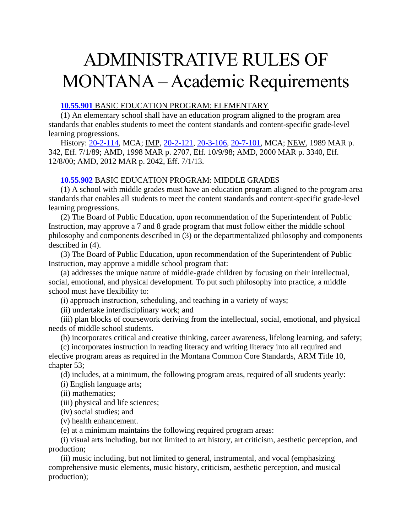# ADMINISTRATIVE RULES OF MONTANA – Academic Requirements

#### **[10.55.901](http://www.mtrules.org/gateway/ruleno.asp?RN=10%2E55%2E901)** BASIC EDUCATION PROGRAM: ELEMENTARY

(1) An elementary school shall have an education program aligned to the program area standards that enables students to meet the content standards and content-specific grade-level learning progressions.

History: [20-2-114,](http://leg.mt.gov/bills/mca/20/2/20-2-114.htm) MCA; IMP, [20-2-121,](http://leg.mt.gov/bills/mca/20/2/20-2-121.htm) [20-3-106,](http://leg.mt.gov/bills/mca/20/3/20-3-106.htm) [20-7-101,](http://leg.mt.gov/bills/mca/20/7/20-7-101.htm) MCA; NEW, 1989 MAR p. 342, Eff. 7/1/89; AMD, 1998 MAR p. 2707, Eff. 10/9/98; AMD, 2000 MAR p. 3340, Eff. 12/8/00; AMD, 2012 MAR p. 2042, Eff. 7/1/13.

#### **[10.55.902](http://www.mtrules.org/gateway/ruleno.asp?RN=10%2E55%2E902)** BASIC EDUCATION PROGRAM: MIDDLE GRADES

(1) A school with middle grades must have an education program aligned to the program area standards that enables all students to meet the content standards and content-specific grade-level learning progressions.

(2) The Board of Public Education, upon recommendation of the Superintendent of Public Instruction, may approve a 7 and 8 grade program that must follow either the middle school philosophy and components described in (3) or the departmentalized philosophy and components described in (4).

(3) The Board of Public Education, upon recommendation of the Superintendent of Public Instruction, may approve a middle school program that:

(a) addresses the unique nature of middle-grade children by focusing on their intellectual, social, emotional, and physical development. To put such philosophy into practice, a middle school must have flexibility to:

(i) approach instruction, scheduling, and teaching in a variety of ways;

(ii) undertake interdisciplinary work; and

(iii) plan blocks of coursework deriving from the intellectual, social, emotional, and physical needs of middle school students.

(b) incorporates critical and creative thinking, career awareness, lifelong learning, and safety;

(c) incorporates instruction in reading literacy and writing literacy into all required and elective program areas as required in the Montana Common Core Standards, ARM Title 10, chapter 53;

(d) includes, at a minimum, the following program areas, required of all students yearly:

(i) English language arts;

(ii) mathematics;

(iii) physical and life sciences;

(iv) social studies; and

(v) health enhancement.

(e) at a minimum maintains the following required program areas:

(i) visual arts including, but not limited to art history, art criticism, aesthetic perception, and production;

(ii) music including, but not limited to general, instrumental, and vocal (emphasizing comprehensive music elements, music history, criticism, aesthetic perception, and musical production);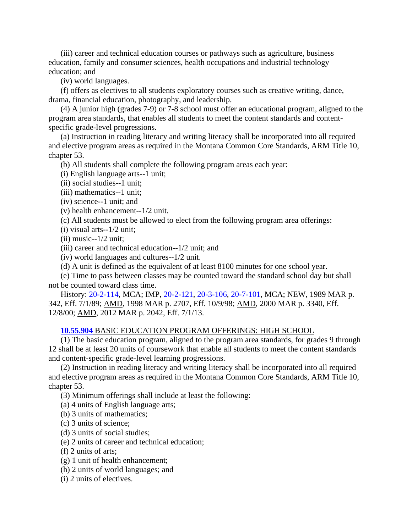(iii) career and technical education courses or pathways such as agriculture, business education, family and consumer sciences, health occupations and industrial technology education; and

(iv) world languages.

(f) offers as electives to all students exploratory courses such as creative writing, dance, drama, financial education, photography, and leadership.

(4) A junior high (grades 7-9) or 7-8 school must offer an educational program, aligned to the program area standards, that enables all students to meet the content standards and contentspecific grade-level progressions.

(a) Instruction in reading literacy and writing literacy shall be incorporated into all required and elective program areas as required in the Montana Common Core Standards, ARM Title 10, chapter 53.

(b) All students shall complete the following program areas each year:

(i) English language arts--1 unit;

(ii) social studies--1 unit;

(iii) mathematics--1 unit;

(iv) science--1 unit; and

(v) health enhancement--1/2 unit.

(c) All students must be allowed to elect from the following program area offerings:

(i) visual arts--1/2 unit;

 $(ii)$  music-- $1/2$  unit:

(iii) career and technical education--1/2 unit; and

(iv) world languages and cultures--1/2 unit.

(d) A unit is defined as the equivalent of at least 8100 minutes for one school year.

(e) Time to pass between classes may be counted toward the standard school day but shall not be counted toward class time.

History: [20-2-114,](http://leg.mt.gov/bills/mca/20/2/20-2-114.htm) MCA; IMP, [20-2-121,](http://leg.mt.gov/bills/mca/20/2/20-2-121.htm) [20-3-106,](http://leg.mt.gov/bills/mca/20/3/20-3-106.htm) [20-7-101,](http://leg.mt.gov/bills/mca/20/7/20-7-101.htm) MCA; NEW, 1989 MAR p. 342, Eff. 7/1/89; AMD, 1998 MAR p. 2707, Eff. 10/9/98; AMD, 2000 MAR p. 3340, Eff. 12/8/00; AMD, 2012 MAR p. 2042, Eff. 7/1/13.

#### **[10.55.904](http://www.mtrules.org/gateway/ruleno.asp?RN=10%2E55%2E904)** BASIC EDUCATION PROGRAM OFFERINGS: HIGH SCHOOL

(1) The basic education program, aligned to the program area standards, for grades 9 through 12 shall be at least 20 units of coursework that enable all students to meet the content standards and content-specific grade-level learning progressions.

(2) Instruction in reading literacy and writing literacy shall be incorporated into all required and elective program areas as required in the Montana Common Core Standards, ARM Title 10, chapter 53.

(3) Minimum offerings shall include at least the following:

(a) 4 units of English language arts;

(b) 3 units of mathematics;

(c) 3 units of science;

(d) 3 units of social studies;

(e) 2 units of career and technical education;

(f) 2 units of arts;

(g) 1 unit of health enhancement;

(h) 2 units of world languages; and

(i) 2 units of electives.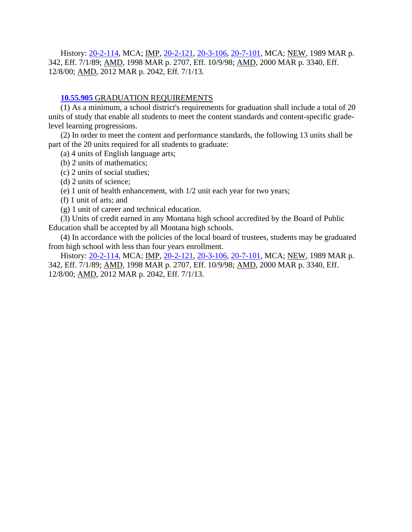History: [20-2-114,](http://leg.mt.gov/bills/mca/20/2/20-2-114.htm) MCA; IMP, [20-2-121,](http://leg.mt.gov/bills/mca/20/2/20-2-121.htm) [20-3-106,](http://leg.mt.gov/bills/mca/20/3/20-3-106.htm) [20-7-101,](http://leg.mt.gov/bills/mca/20/7/20-7-101.htm) MCA; NEW, 1989 MAR p. 342, Eff. 7/1/89; AMD, 1998 MAR p. 2707, Eff. 10/9/98; AMD, 2000 MAR p. 3340, Eff. 12/8/00; AMD, 2012 MAR p. 2042, Eff. 7/1/13.

#### **[10.55.905](http://www.mtrules.org/gateway/ruleno.asp?RN=10%2E55%2E905)** GRADUATION REQUIREMENTS

(1) As a minimum, a school district's requirements for graduation shall include a total of 20 units of study that enable all students to meet the content standards and content-specific gradelevel learning progressions.

(2) In order to meet the content and performance standards, the following 13 units shall be part of the 20 units required for all students to graduate:

(a) 4 units of English language arts;

(b) 2 units of mathematics;

(c) 2 units of social studies;

(d) 2 units of science;

(e) 1 unit of health enhancement, with 1/2 unit each year for two years;

(f) 1 unit of arts; and

(g) 1 unit of career and technical education.

(3) Units of credit earned in any Montana high school accredited by the Board of Public Education shall be accepted by all Montana high schools.

(4) In accordance with the policies of the local board of trustees, students may be graduated from high school with less than four years enrollment.

History: [20-2-114,](http://leg.mt.gov/bills/mca/20/2/20-2-114.htm) MCA; IMP, [20-2-121,](http://leg.mt.gov/bills/mca/20/2/20-2-121.htm) [20-3-106,](http://leg.mt.gov/bills/mca/20/3/20-3-106.htm) [20-7-101,](http://leg.mt.gov/bills/mca/20/7/20-7-101.htm) MCA; NEW, 1989 MAR p. 342, Eff. 7/1/89; AMD, 1998 MAR p. 2707, Eff. 10/9/98; AMD, 2000 MAR p. 3340, Eff. 12/8/00; AMD, 2012 MAR p. 2042, Eff. 7/1/13.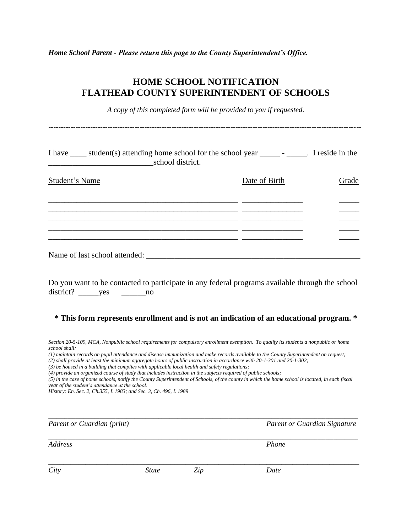*Home School Parent - Please return this page to the County Superintendent's Office.*

### **HOME SCHOOL NOTIFICATION FLATHEAD COUNTY SUPERINTENDENT OF SCHOOLS**

*A copy of this completed form will be provided to you if requested.*

*-------------------------------------------------------------------------------------------------------------------------------*

I have \_\_\_\_ student(s) attending home school for the school year \_\_\_\_\_ - \_\_\_\_\_. I reside in the \_\_\_\_\_\_\_\_\_\_\_\_\_\_\_\_\_\_\_\_\_\_\_\_\_\_school district. Student's Name **Date of Birth** Grade \_\_\_\_\_\_\_\_\_\_\_\_\_\_\_\_\_\_\_\_\_\_\_\_\_\_\_\_\_\_\_\_\_\_\_\_\_\_\_\_\_\_\_\_\_\_\_ \_\_\_\_\_\_\_\_\_\_\_\_\_\_\_ \_\_\_\_\_ \_\_\_\_\_\_\_\_\_\_\_\_\_\_\_\_\_\_\_\_\_\_\_\_\_\_\_\_\_\_\_\_\_\_\_\_\_\_\_\_\_\_\_\_\_\_\_ \_\_\_\_\_\_\_\_\_\_\_\_\_\_\_ \_\_\_\_\_ \_\_\_\_\_\_\_\_\_\_\_\_\_\_\_\_\_\_\_\_\_\_\_\_\_\_\_\_\_\_\_\_\_\_\_\_\_\_\_\_\_\_\_\_\_\_\_ \_\_\_\_\_\_\_\_\_\_\_\_\_\_\_ \_\_\_\_\_ \_\_\_\_\_\_\_\_\_\_\_\_\_\_\_\_\_\_\_\_\_\_\_\_\_\_\_\_\_\_\_\_\_\_\_\_\_\_\_\_\_\_\_\_\_\_\_ \_\_\_\_\_\_\_\_\_\_\_\_\_\_\_ \_\_\_\_\_  $\mathcal{L}_\text{max} = \mathcal{L}_\text{max} = \mathcal{L}_\text{max} = \mathcal{L}_\text{max} = \mathcal{L}_\text{max} = \mathcal{L}_\text{max} = \mathcal{L}_\text{max}$ Name of last school attended: \_\_\_\_\_\_\_\_\_\_\_\_\_\_\_\_\_\_\_\_\_\_\_\_\_\_\_\_\_\_\_\_\_\_\_\_\_\_\_\_\_\_\_\_\_\_\_\_\_\_\_\_\_

Do you want to be contacted to participate in any federal programs available through the school district? \_\_\_\_\_yes \_\_\_\_\_\_\_\_\_no

#### **\* This form represents enrollment and is not an indication of an educational program. \***

- *Section 20-5-109, MCA, Nonpublic school requirements for compulsory enrollment exemption. To qualify its students a nonpublic or home school shall:*
- *(1) maintain records on pupil attendance and disease immunization and make records available to the County Superintendent on request; (2) shall provide at least the minimum aggregate hours of public instruction in accordance with 20-1-301 and 20-1-302;*
- *(3) be housed in a building that complies with applicable local health and safety regulations;*
- *(4) provide an organized course of study that includes instruction in the subjects required of public schools;*

*(5) in the case of home schools, notify the County Superintendent of Schools, of the county in which the home school is located, in each fiscal year of the student's attendance at the school.*

*\_\_\_\_\_\_\_\_\_\_\_\_\_\_\_\_\_\_\_\_\_\_\_\_\_\_\_\_\_\_\_\_\_\_\_\_\_\_\_\_\_\_\_\_\_\_\_\_\_\_\_\_\_\_\_\_\_\_\_\_\_\_\_\_\_\_\_\_\_\_\_\_\_\_\_\_\_\_\_\_\_\_\_\_\_\_\_\_\_\_\_\_\_\_\_\_\_\_\_\_\_\_\_\_\_\_\_\_\_\_\_\_\_\_\_*

*\_\_\_\_\_\_\_\_\_\_\_\_\_\_\_\_\_\_\_\_\_\_\_\_\_\_\_\_\_\_\_\_\_\_\_\_\_\_\_\_\_\_\_\_\_\_\_\_\_\_\_\_\_\_\_\_\_\_\_\_\_\_\_\_\_\_\_\_\_\_\_\_\_\_\_\_\_\_\_\_\_\_\_\_\_\_\_\_\_\_\_\_\_\_\_\_\_\_\_\_\_\_\_\_\_\_\_\_\_\_\_\_\_\_\_*

*\_\_\_\_\_\_\_\_\_\_\_\_\_\_\_\_\_\_\_\_\_\_\_\_\_\_\_\_\_\_\_\_\_\_\_\_\_\_\_\_\_\_\_\_\_\_\_\_\_\_\_\_\_\_\_\_\_\_\_\_\_\_\_\_\_\_\_\_\_\_\_\_\_\_\_\_\_\_\_\_\_\_\_\_*

*History: En. Sec. 2, Ch.355, L 1983; and Sec. 3, Ch. 496, L 1989*

*Parent or Guardian (print) Parent or Guardian Signature*

*Address Phone*